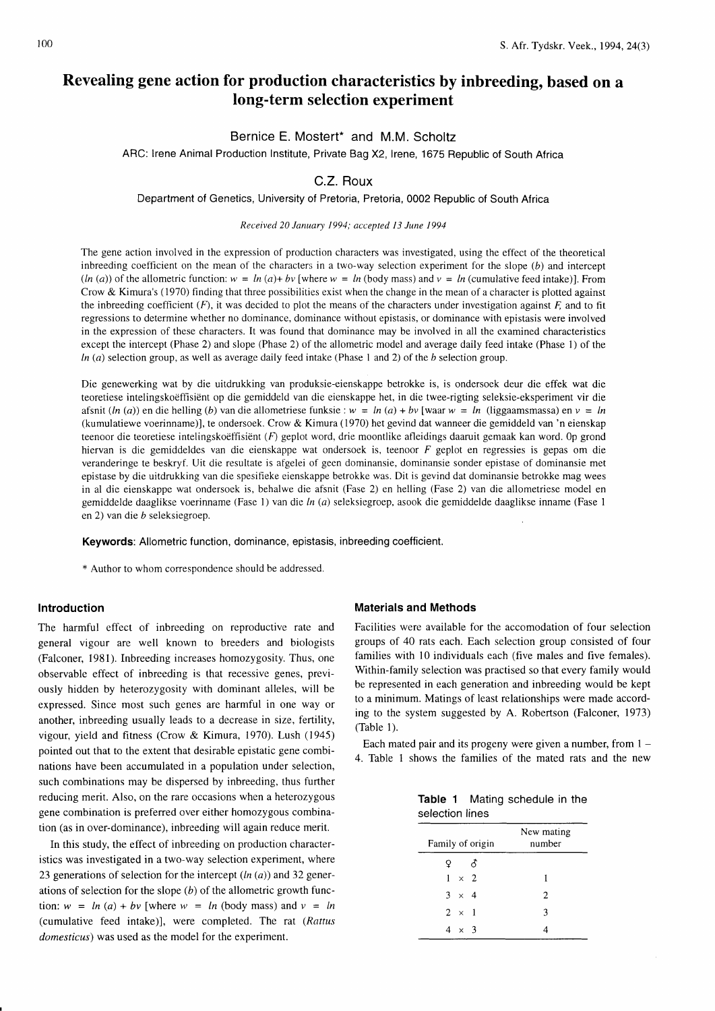# Revealing gene action for production characteristics by inbreeding, based on a long-term selection experiment

## Bernice E. Mostert\* and M.M. Scholtz

ARC: lrene Animal Production Institute, Private Bag X2, lrene, 1675 Republic of South Africa

# C.Z. Roux

Department of Genetics, University of Pretoria, Pretoria, 0002 Republic of South Africa

#### Received 20 Januarv 1994: accented I3 June 1994

The gene action involved in the expression of production characters was investigated, using the effect of the theoretical inbreeding coefficient on the mean of the characters in a two-way selection experiment for the slope  $(b)$  and intercept  $(ln (a))$  of the allometric function:  $w = ln (a) + bv$  [where  $w = ln (body mass)$  and  $v = ln$  (cumulative feed intake)]. From Crow & Kimura's (1970) finding that three possibilities exist when the change in the mean of a character is plotted against the inbreeding coefficient  $(F)$ , it was decided to plot the means of the characters under investigation against  $F$ , and to fit regressions to determine whether no dominance, dominance without epistasis, or dominance with epistasis were involved in the expression of these characters. It was found that dominance may be involved in all the examined characteristics except the intercept (Phase 2) and slope (Phase 2) of the allometric model and average daily feed intake (Phase 1) of the  $ln (a)$  selection group, as well as average daily feed intake (Phase 1 and 2) of the b selection group.

Die genewerking wat by die uitdrukking van produksie-eienskappe betrokke is, is ondersoek deur die effek wat die teoretiese intelingskoeffisient op die gemiddeld van die eienskappe het, in die twee-rigting seleksie-eksperiment vir die afsnit (ln (a)) en die helling (b) van die allometriese funksie:  $w = ln(a) + bv$  [waar  $w = ln$  (liggaamsmassa) en  $v = ln$ (kumulatiewe voerinname)], te ondersoek. Crow & Kimura (1970) het gevind dat wanneer die gemiddeld van 'n eienskap teenoor die teoretiese intelingskoëffisiënt  $(F)$  geplot word, drie moontlike afleidings daaruit gemaak kan word. Op grond hiervan is die gemiddeldes van die eienskappe wat ondersoek is, teenoor F geplot en regressies is gepas om die veranderinge te beskryf. Uit die resultate is afgelei of geen dominansie, dominansie sonder epistase of dominansie met epistase by die uitdrukking van die spesifieke eienskappe betrokke was. Dit is gevind dat dominansie betrokke mag wees in al die eienskappe wat ondersoek is, behalwe die afsnit (Fase 2) en helling (Fase 2) van die allometriese model en gemiddelde daaglikse voerinname (Fase 1) van die ln (a) seleksiegroep, asook die gemiddelde daaglikse inname (Fase 1 en 2) van die b seleksiegroep.

Keywords: Allometric function, dominance, epistasis, inbreeding coefficient.

\* Author to whom correspondence should be addressed.

#### Introduction

The harmful effect of inbreeding on reproductive rate and general vigour are well known to breeders and biologists (Falconer, 1981). Inbreeding increases homozygosity. Thus, one observable effect of inbreeding is that recessive genes. previously hidden by heterozygosity with dominant alleles, will be expressed. Since most such genes are harmful in one way or another, inbreeding usually leads to a decrease in size, fertility, vigour, yield and fitness (Crow & Kimura, 1970). Lush (1945) pointed out that to the extent that desirable epistatic gene combinations have been accumulated in a population under selection, such combinations may be dispersed by inbreeding, thus further reducing merit. Also, on the rare occasions when a heterozygous gene combination is preferred over either homozygous combination (as in over-dominance), inbreeding will again reduce merit.

In this study, the effect of inbreeding on production characteristics was investigated in a two-way selection experiment, where 23 generations of selection for the intercept  $(ln (a))$  and 32 generations of selection for the slope  $(b)$  of the allometric growth function:  $w = ln(a) + bv$  [where  $w = ln(body)$  mass) and  $v = ln(b)$ (cumulative feed intake)], were completed. The rat (Rattus domesticus) was used as the model for the experiment.

#### Materials and Methods

Facilities were available for the accomodation of four selection groups of 40 rats each. Each selection group consisted of four families with 10 individuals each (five males and five females). Within-family selection was practised so that every family would be represented in each generation and inbreeding would be kept to a minimum. Matings of least relationships were made according to the system suggested by A. Robertson (Falconer, 1973) (Table 1).

Each mated pair and its progeny were given a number, from  $1 -$ 4. Table 1 shows the families of the mated rats and the new

|                 |  | Table 1 Mating schedule in the |  |
|-----------------|--|--------------------------------|--|
| selection lines |  |                                |  |

| Family of origin | New mating<br>number |
|------------------|----------------------|
| - 8<br>Q.        |                      |
| $1 \times 2$     |                      |
| $3 \times 4$     | $\overline{c}$       |
| $2 \times 1$     | 3                    |
| $4 \times 3$     |                      |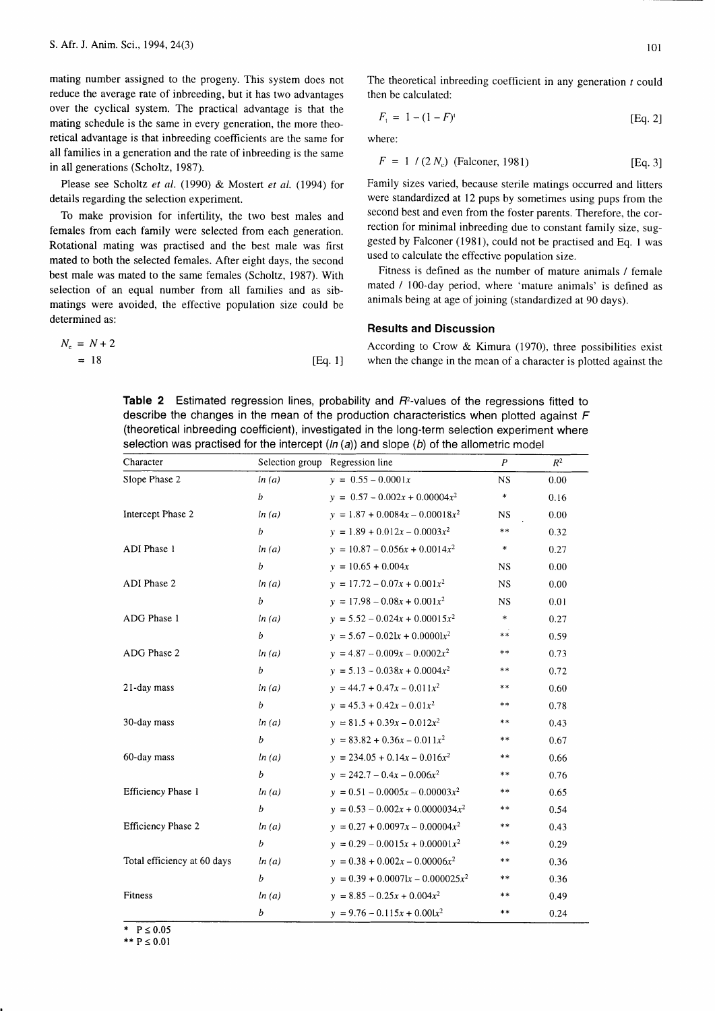mating number assigned to the progeny. This system does not reduce the average rate of inbreeding, but it has two advantages over the cyclical system. The practical advantage is that the mating schedule is the same in every generation, the more theoretical advantage is that inbreeding coefficients are the same for all families in a generation and the rate of inbreeding is the same in all generations (Scholtz, 1987).

Please see Scholtz et al. (1990) & Mostert et al. (1994) for details regarding the selection experiment.

To make provision for infertility, the two best males and females from each family were selected from each generation. Rotational mating was practised and the best male was first mated to both the selected females. After eight days, the second best male was mated to the same females (Scholtz, 1987). With selection of an equal number from all families and as sibmatings were avoided, the effective population size could be determined as:

$$
N_e = N + 2
$$
  
= 18 [Eq. 1]

The theoretical inbreeding coefficient in any generation  $t$  could then be calculated:

$$
F_t = 1 - (1 - F)^t \tag{Eq. 2}
$$

where:

$$
F = 1 / (2 Ne) (Falconer, 1981)
$$
 [Eq. 3]

Family sizes varied, because sterile matings occurred and litters were standardized at 12 pups by sometimes using pups from the second best and even from the foster parents. Therefore, the correction for minimal inbreeding due to constant family size, suggested by Falconer (1981), could not be practised and Eq. I was used to calculate the effective population size.

Fitness is defined as the number of mature animals / female mated / 100-day period, where 'mature animals' is defined as animals being at age of joining (standardized at 90 days).

#### Results and Discussion

According to Crow & Kimura (1970), three possibilities exist [3] when the change in the mean of a character is plotted against the

Table 2 Estimated regression lines, probability and  $R<sup>2</sup>$ -values of the regressions fitted to describe the changes in the mean of the production characteristics when plotted against  $F$ (theoretical inbreeding coefficient), investigated in the long-term selection experiment where selection was practised for the intercept  $(ln (a))$  and slope  $(b)$  of the allometric model

| Character                   |                  | Selection group Regression line     | $\overline{P}$ | $R^2$ |
|-----------------------------|------------------|-------------------------------------|----------------|-------|
| Slope Phase 2               | ln(a)            | $y = 0.55 - 0.0001x$                | <b>NS</b>      | 0.00  |
|                             | $\boldsymbol{b}$ | $y = 0.57 - 0.002x + 0.00004x^2$    | $\ast$         | 0.16  |
| Intercept Phase 2           | ln(a)            | $y = 1.87 + 0.0084x - 0.00018x^2$   | <b>NS</b>      | 0.00  |
|                             | $\boldsymbol{b}$ | $y = 1.89 + 0.012x - 0.0003x^2$     | $**$           | 0.32  |
| ADI Phase 1                 | ln(a)            | $y = 10.87 - 0.056x + 0.0014x^2$    | $\ast$         | 0.27  |
|                             | $\boldsymbol{b}$ | $y = 10.65 + 0.004x$                | <b>NS</b>      | 0.00  |
| ADI Phase 2                 | ln(a)            | $y = 17.72 - 0.07x + 0.001x^2$      | <b>NS</b>      | 0.00  |
|                             | $\boldsymbol{b}$ | $y = 17.98 - 0.08x + 0.001x^2$      | <b>NS</b>      | 0.01  |
| ADG Phase 1                 | ln(a)            | $y = 5.52 - 0.024x + 0.00015x^2$    | $\ast$         | 0.27  |
|                             | $\boldsymbol{b}$ | $y = 5.67 - 0.021x + 0.00001x^2$    | $**$           | 0.59  |
| ADG Phase 2                 | ln(a)            | $y = 4.87 - 0.009x - 0.0002x^2$     | $***$          | 0.73  |
|                             | $\boldsymbol{b}$ | $y = 5.13 - 0.038x + 0.0004x^2$     | $* *$          | 0.72  |
| 21-day mass                 | ln(a)            | $y = 44.7 + 0.47x - 0.011x^2$       | $***$          | 0.60  |
|                             | $\boldsymbol{b}$ | $y = 45.3 + 0.42x - 0.01x^2$        | $* *$          | 0.78  |
| 30-day mass                 | ln(a)            | $y = 81.5 + 0.39x - 0.012x^2$       | $* *$          | 0.43  |
|                             | $\boldsymbol{b}$ | $y = 83.82 + 0.36x - 0.011x^2$      | **             | 0.67  |
| 60-day mass                 | ln(a)            | $y = 234.05 + 0.14x - 0.016x^2$     | $***$          | 0.66  |
|                             | $\boldsymbol{b}$ | $y = 242.7 - 0.4x - 0.006x^2$       | $***$          | 0.76  |
| Efficiency Phase 1          | ln(a)            | $y = 0.51 - 0.0005x - 0.00003x^2$   | $***$          | 0.65  |
|                             | $\boldsymbol{b}$ | $y = 0.53 - 0.002x + 0.0000034x^2$  | $***$          | 0.54  |
| <b>Efficiency Phase 2</b>   | ln(a)            | $y = 0.27 + 0.0097x - 0.00004x^2$   | $***$          | 0.43  |
|                             | $\boldsymbol{b}$ | $y = 0.29 - 0.0015x + 0.00001x^2$   | $***$          | 0.29  |
| Total efficiency at 60 days | ln(a)            | $y = 0.38 + 0.002x - 0.00006x^2$    | $***$          | 0.36  |
|                             | $\boldsymbol{b}$ | $y = 0.39 + 0.00071x - 0.000025x^2$ | $***$          | 0.36  |
| Fitness                     | ln(a)            | $y = 8.85 - 0.25x + 0.004x^2$       | $**$           | 0.49  |
|                             | b                | $y = 9.76 - 0.115x + 0.001x^2$      | $**$           | 0.24  |

 $P \le 0.05$ \*\*  $P \le 0.01$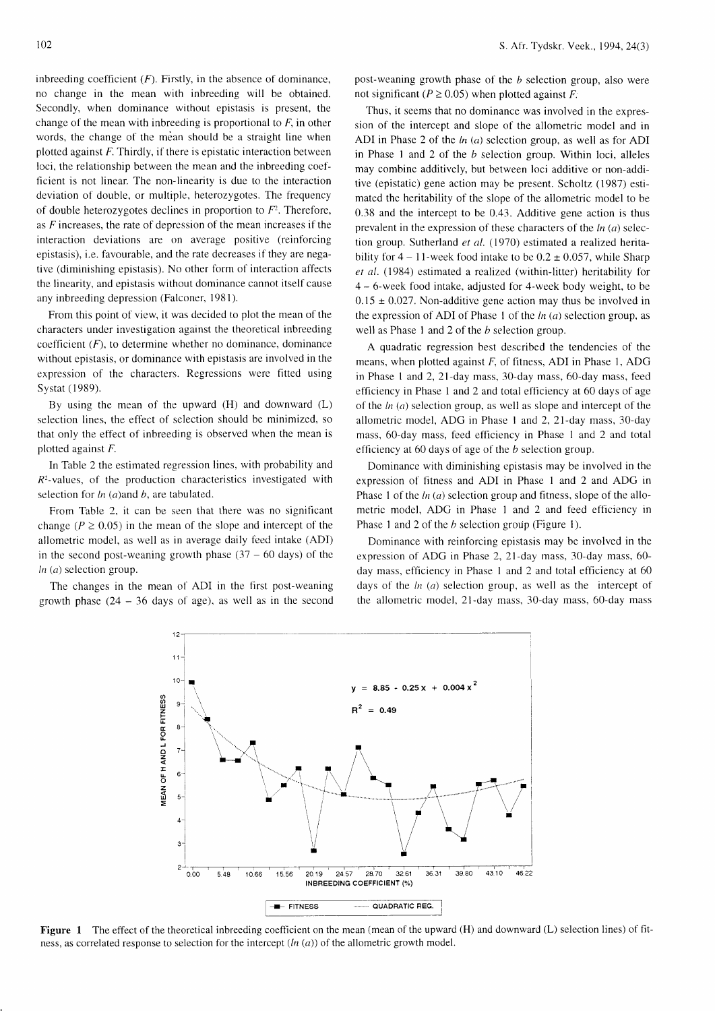inbreeding coefficient  $(F)$ . Firstly, in the absence of dominance, no change in the mean with inbreeding will be obtained. Secondly, when dominance without epistasis is present, the change of the mean with inbreeding is proportional to  $F$ , in other words, the change of the mean should be a straight line when plotted against  $F$ . Thirdly, if there is epistatic interaction between loci, the relationship between the mean and the inbreeding coefficient is not linear. The non-linearity is due to the interaction deviation of double, or multiple, heterozygotes. The frequency of double heterozygotes declines in proportion to  $F<sup>2</sup>$ . Therefore, as  $F$  increases, the rate of depression of the mean increases if the interaction deviations are on average positive (reinforcing epistasis), i.e. favourable, and the rate decreases if they are negative (diminishing epistasis). No other form of interaction affects the linearity, and epistasis without dominance cannot itself cause any inbreeding depression (Falconer, 1981).

From this point of view, it was decided to plot the mean of the characters under investigation against the theoretical inbreeding coefficient  $(F)$ , to determine whether no dominance, dominance without epistasis, or dominance with epistasis are involved in the expression of the characters. Regressions were fitted using Systat (1989).

By using the mean of the upward (H) and downward (L) selection lines, the effect of selection should be minimized, so that only the effect of inbreeding is observed when the mean is plotted against F.

In Table 2 the estimated regression lines, with probability and  $R<sup>2</sup>$ -values, of the production characteristics investigated with selection for  $ln(a)$  and  $b$ , are tabulated.

From Table 2, it can be seen that there was no significant change ( $P \ge 0.05$ ) in the mean of the slope and intercept of the allometric model, as well as in average daily feed intake (ADI) in the second post-weaning growth phase  $(37 - 60 \text{ days})$  of the  $ln (a)$  selection group.

The changes in the mean of ADI in the first post-weaning growth phase  $(24 - 36$  days of age), as well as in the second

post-weaning growth phase of the  $b$  selection group, also were not significant ( $P \ge 0.05$ ) when plotted against F.

Thus, it seems that no dominance was involved in the expression of the intercept and slope of the allometric model and in ADI in Phase 2 of the  $ln (a)$  selection group, as well as for ADI in Phase 1 and 2 of the  $b$  selection group. Within loci, alleles may combine additively, but between loci additive or non-additive (epistatic) gene action may be present. Scholtz (1987) estimated the heritability of the slope of the allometric model to be 0.38 and the intercept to be 0.43. Additive gene action is thus prevalent in the expression of these characters of the  $ln(a)$  selection group. Sutherland et al. (1970) estimated a realized heritability for  $4 - 11$ -week food intake to be  $0.2 \pm 0.057$ , while Sharp  $et$  al. (1984) estimated a realized (within-litter) heritability for 4 - 6-week tood intake, adjusted for 4-week body weight, to be  $0.15 \pm 0.027$ . Non-additive gene action may thus be involved in the expression of ADI of Phase 1 of the  $ln(a)$  selection group, as well as Phase 1 and 2 of the  $b$  selection group.

A quadratic regression best described the tendencies of the means, when plotted against  $F$ , of fitness, ADI in Phase 1, ADG in Phase 1 and 2,  $21$ -day mass,  $30$ -day mass,  $60$ -day mass, feed efficiency in Phase I and 2 and total elflciency at 60 days of age of the  $ln(a)$  selection group, as well as slope and intercept of the allometric model, ADG in Phase I and 2,27-day mass, 30-day mass, 60-day mass, feed efficiency in Phase 1 and 2 and total efficiency at 60 days of age of the b selection group.

Dominance with diminishing epistasis may be involved in the expression of fitness and ADI in Phase 1 and 2 and ADG in Phase 1 of the  $ln(a)$  selection group and fitness, slope of the allometric model, ADG in Phase I and 2 and feed efficiency in Phase 1 and 2 of the *b* selection group (Figure 1).

Dominance with reinforcing epistasis may be involved in the expression of ADG in Phase 2, 21-day mass, 30-day mass, 60 day mass, etficiency in Phase I and 2 and total efficiency at 60 days of the  $ln(a)$  selection group, as well as the intercept of the allometric model, 21-day mass, 30-day mass, 60-day mass



Figure 1 The effect of the theoretical inbreeding coefficient on the mean (mean of the upward (H) and downward (L) selection lines) of fitness, as correlated response to selection for the intercept  $(ln (a))$  of the allometric growth model.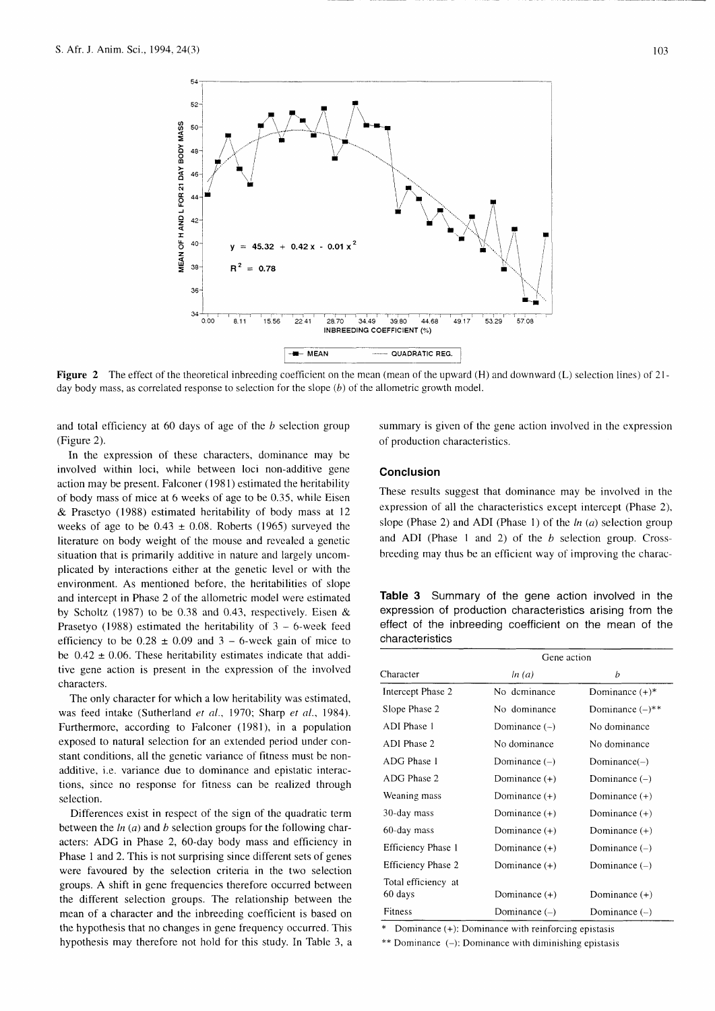

**Figure 2** The effect of the theoretical inbreeding coefficient on the mean (mean of the upward  $(H)$  and downward  $(L)$  selection lines) of 21day body mass, as correlated response to selection for the slope  $(b)$  of the allometric growth model.

and total efficiency at  $60$  days of age of the  $b$  selection group (Figure 2).

In the expression of these characters, dominance may be involved within loci, while between loci non-additive gene action may be present. Falconer (1981) estimated the heritability of body mass of mice at 6 weeks of age to be 0.35, while Eisen & Prasetyo (1988) estimated heritability of body mass at l2 weeks of age to be  $0.43 \pm 0.08$ . Roberts (1965) surveyed the literature on body weight of the mouse and revealed a genetic situation that is primarily additive in nature and largely uncomplicated by interactions either at the genetic level or with the environment. As mentioned before, the heritabilities of slope and intercept in Phase 2 of the allometric model were estimated by Scholtz (1987) to be 0.38 and 0.43, respectively. Eisen & Prasetyo (1988) estimated the heritability of  $3 - 6$ -week feed efficiency to be  $0.28 \pm 0.09$  and  $3 - 6$ -week gain of mice to be  $0.42 \pm 0.06$ . These heritability estimates indicate that additive gene action is present in the expression of the involved characters.

The only character for which a low heritability was estimated, was feed intake (Sutherland et al., 1970; Sharp et al., 1984). Furthermore, according to Falconer (1981), in a population exposed to natural selection for an extended period under constant conditions, all the genetic variance of fitness must be nonadditive, i.e. variance due to dominance and epistatic interactions, since no response for frtness can be realized through selection.

Differences exist in respect of the sign of the quadratic term between the  $ln(a)$  and  $b$  selection groups for the following characters: ADG in Phase 2, 60-day body mass and efficiency in Phase 1 and 2. This is not surprising since different sets of genes were favoured by the selection criteria in the two selection groups. A shift in gene frequencies therefore occurred between the different selection groups. The relationship between the mean of a character and the inbreeding coefficient is based on the hypothesis that no changes in gene frequency occurred. This hypothesis may therefore not hold for this study. In Table 3, a summary is given of the gene action involved in the expression of production characteristics.

#### **Conclusion**

These results suggest that dominance may be involved in the expression of all the characteristics except intercept (Phase 2), slope (Phase 2) and ADI (Phase 1) of the  $ln (a)$  selection group and ADI (Phase 1 and 2) of the  $b$  selection group. Crossbreeding may thus be an efficient way of improving the charac-

Table 3 Summary of the gene action involved in the expression of production characteristics arising from the effect of the inbreeding coefficient on the mean of the characteristics

|                           | Gene action     |                      |  |
|---------------------------|-----------------|----------------------|--|
| Character                 | ln(a)           | b                    |  |
| Intercept Phase 2         | No deminance    | Dominance $(+)^*$    |  |
| Slope Phase 2             | No dominance    | Dominance $(-)^{**}$ |  |
| ADI Phase 1               | Dominance $(-)$ | No dominance         |  |
| ADI Phase 2               | No dominance    | No dominance         |  |
| ADG Phase 1               | Dominance $(-)$ | Domain(–)            |  |
| ADG Phase 2               | Dominance $(+)$ | Dominance $(-)$      |  |
| Weaning mass              | Dominance $(+)$ | Dominance $(+)$      |  |
| 30-day mass               | Dominance (+)   | Dominance (+)        |  |
| 60-day mass               | Dominance $(+)$ | Dominance $(+)$      |  |
| Efficiency Phase 1        | Dominance $(+)$ | Dominance $(-)$      |  |
| <b>Efficiency Phase 2</b> | Dominance $(+)$ | Dominance $(-)$      |  |
| Total efficiency at       |                 |                      |  |
| 60 days                   | Dominance $(+)$ | Dominance $(+)$      |  |
| Fitness                   | Dominance $(-)$ | Dominance $(-)$      |  |

Dominance (+): Dominance with reinforcing epistasis

 $**$  Dominance (-): Dominance with diminishing epistasis